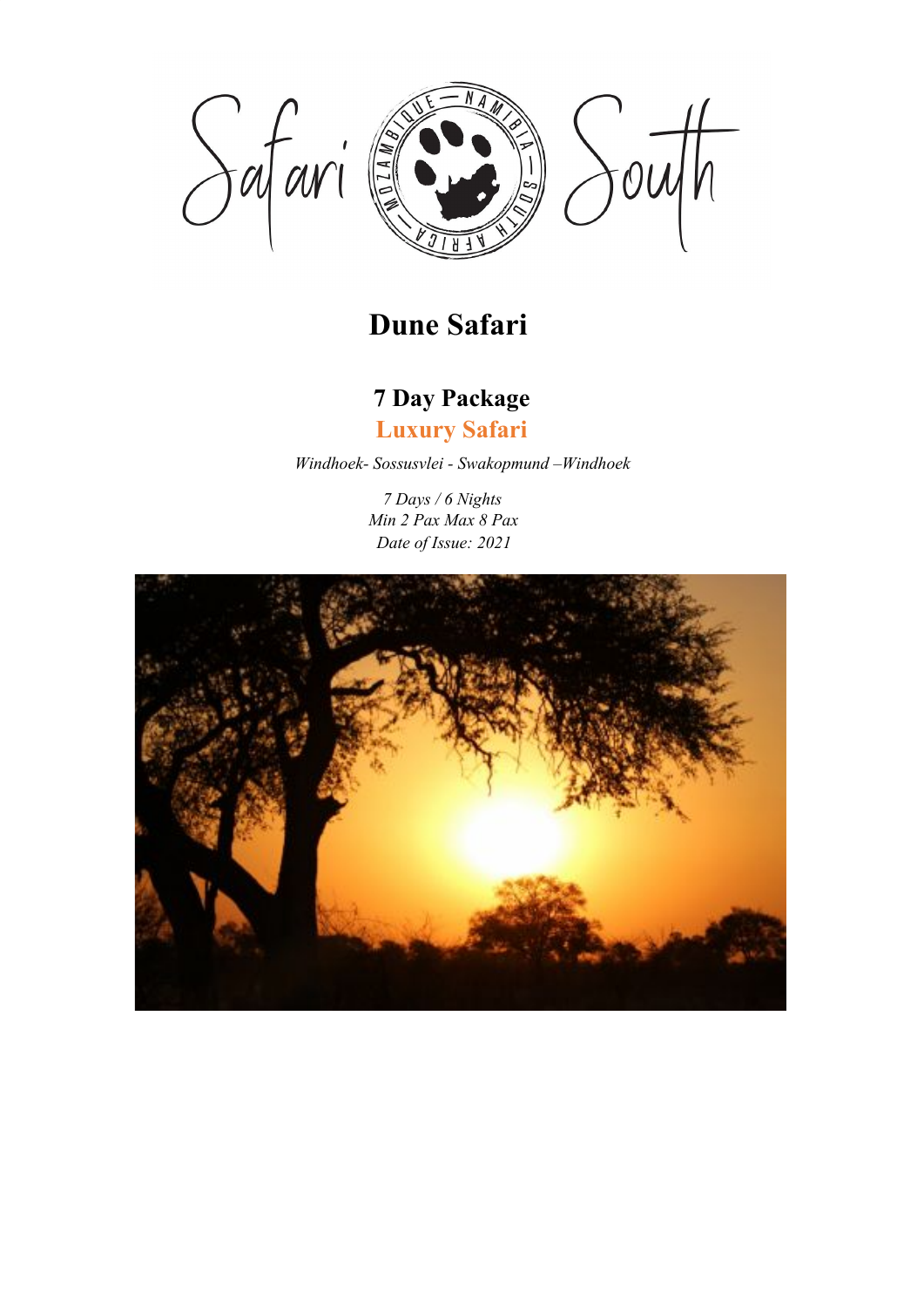

# **Dune Safari**

# **7 Day Package**

**Luxury Safari**

*Windhoek- Sossusvlei - Swakopmund –Windhoek*

*7 Days / 6 Nights Min 2 Pax Max 8 Pax Date of Issue: 2021*

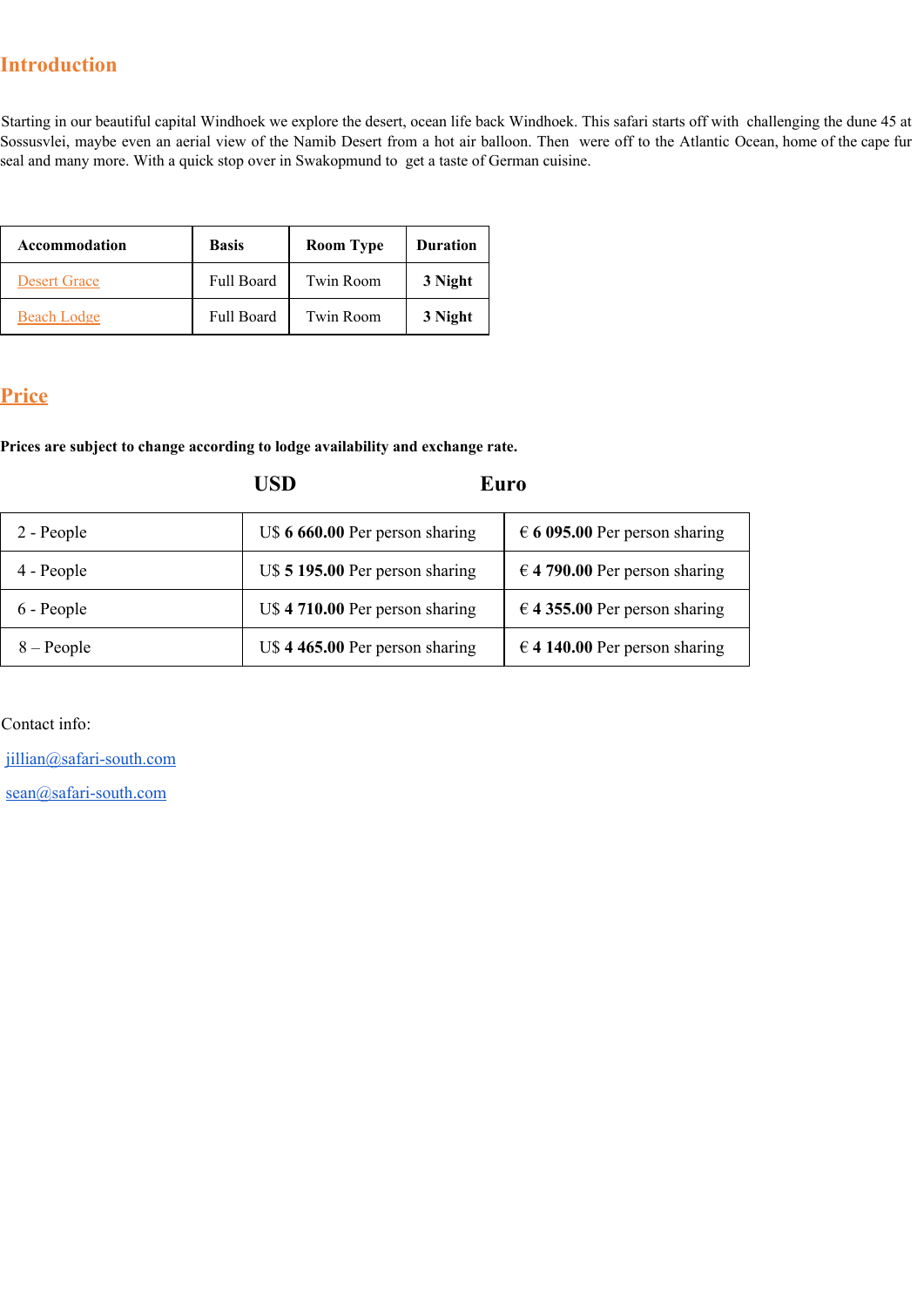## **Introduction**

Starting in our beautiful capital Windhoek we explore the desert, ocean life back Windhoek. This safari starts off with challenging the dune 45 at Sossusvlei, maybe even an aerial view of the Namib Desert from a hot air balloon. Then were off to the Atlantic Ocean, home of the cape fur seal and many more. With a quick stop over in Swakopmund to get a taste of German cuisine.

| Accommodation       | <b>Basis</b>      | <b>Room Type</b> | <b>Duration</b> |
|---------------------|-------------------|------------------|-----------------|
| <b>Desert Grace</b> | <b>Full Board</b> | Twin Room        | 3 Night         |
| <b>Beach Lodge</b>  | <b>Full Board</b> | Twin Room        | 3 Night         |

## **Price**

**Prices are subject to change according to lodge availability and exchange rate.**

**USD Euro**

| 2 - People   | U\$ 6 660.00 Per person sharing | $\epsilon$ 6 095.00 Per person sharing |
|--------------|---------------------------------|----------------------------------------|
| 4 - People   | U\$ 5 195.00 Per person sharing | $\in$ 4 790.00 Per person sharing      |
| 6 - People   | U\$ 4 710.00 Per person sharing | $\in$ 4 355.00 Per person sharing      |
| $8 - People$ | U\$ 4 465.00 Per person sharing | $\in$ 4 140.00 Per person sharing      |

Contact info:

[jillian@safari-south.com](mailto:jillian@safari-south.com)

[sean@safari-south.com](mailto:sean@safari-south.com)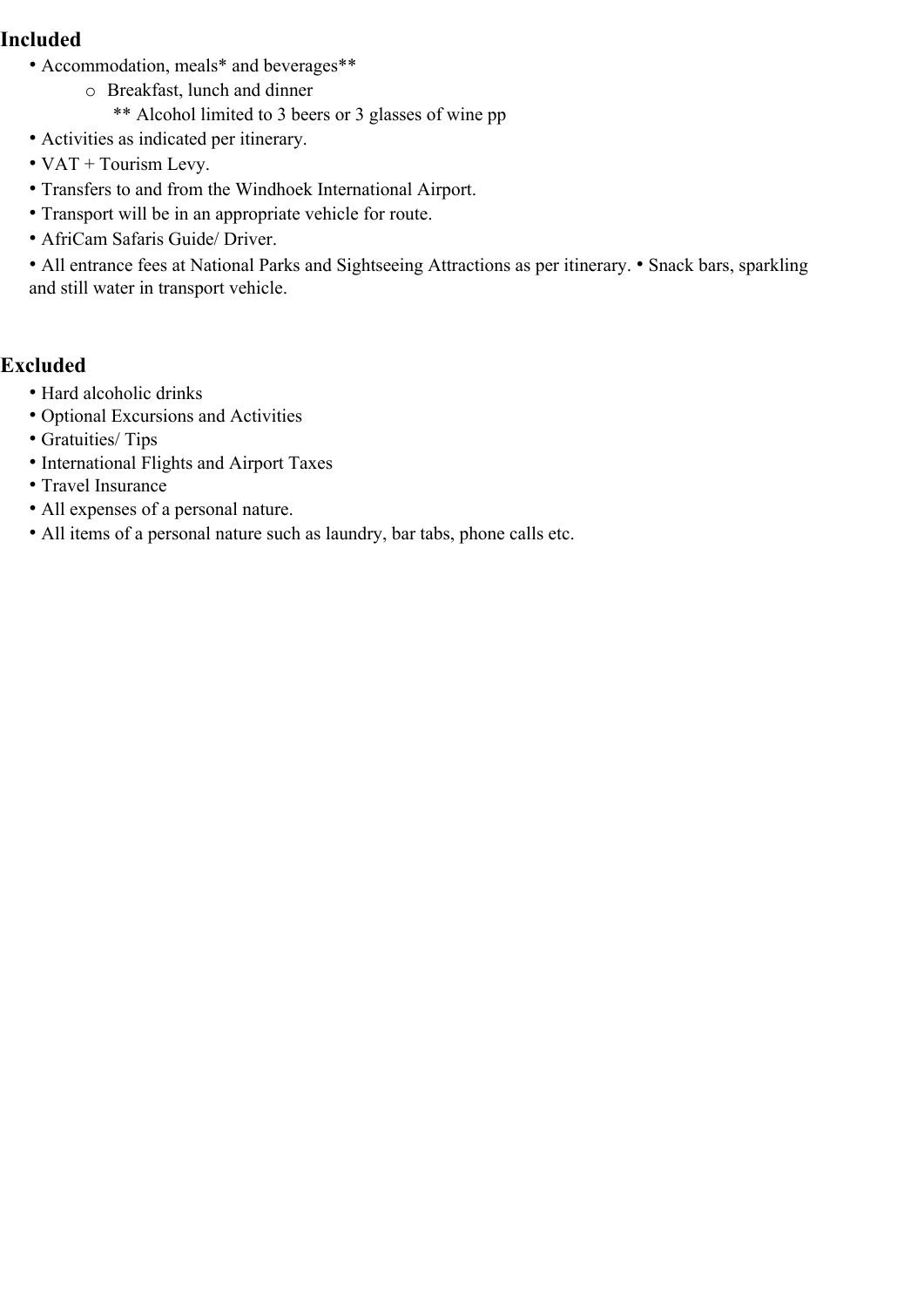### **Included**

- Accommodation, meals\* and beverages\*\*
	- o Breakfast, lunch and dinner
		- \*\* Alcohol limited to 3 beers or 3 glasses of wine pp
- Activities as indicated per itinerary.
- VAT + Tourism Levy.
- Transfers to and from the Windhoek International Airport.
- Transport will be in an appropriate vehicle for route.
- AfriCam Safaris Guide/ Driver.

• All entrance fees at National Parks and Sightseeing Attractions as per itinerary. • Snack bars, sparkling and still water in transport vehicle.

### **Excluded**

- Hard alcoholic drinks
- Optional Excursions and Activities
- Gratuities/ Tips
- International Flights and Airport Taxes
- Travel Insurance
- All expenses of a personal nature.
- All items of a personal nature such as laundry, bar tabs, phone calls etc.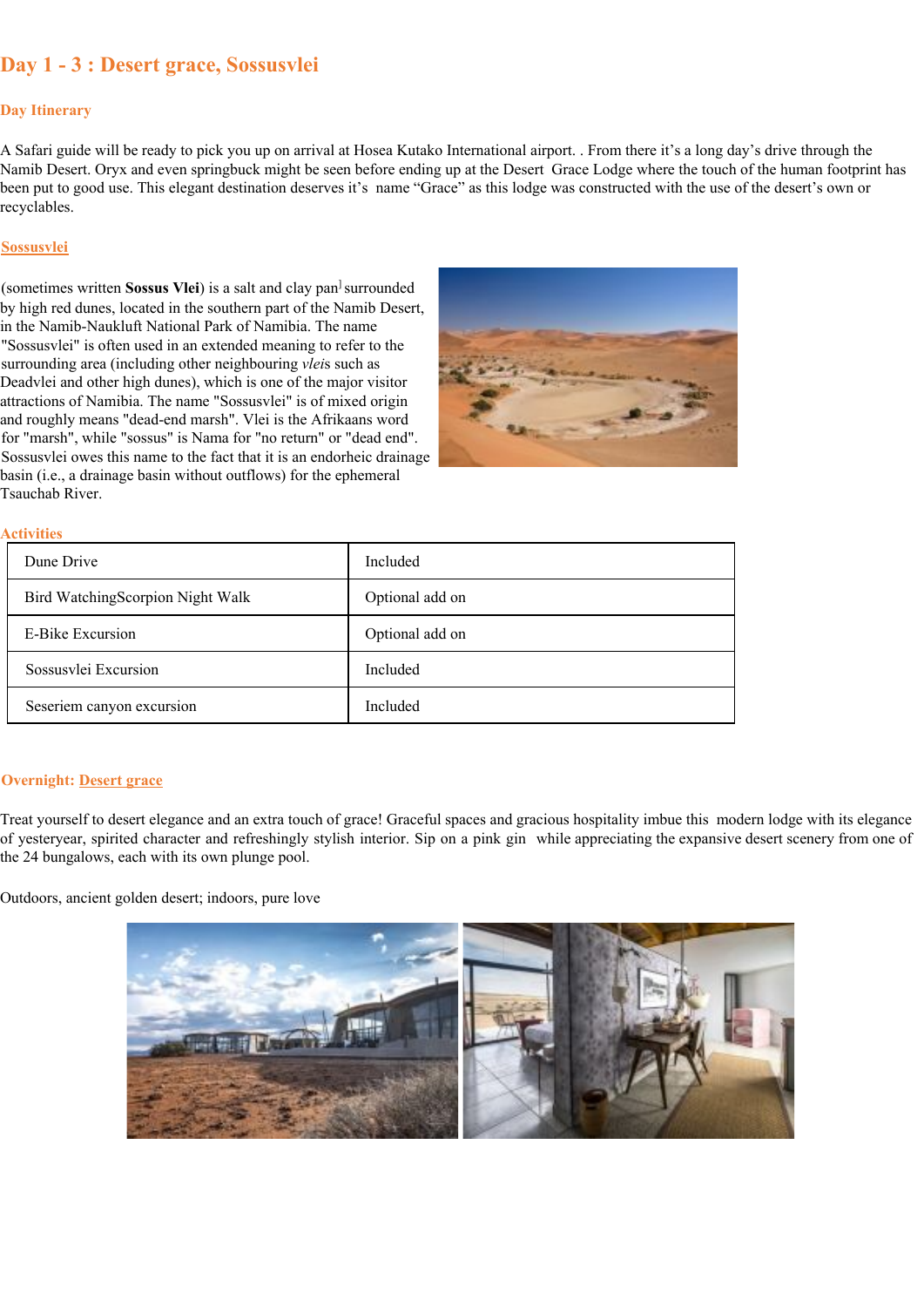### **Day 1 - 3 : Desert grace, Sossusvlei**

#### **Day Itinerary**

A Safari guide will be ready to pick you up on arrival at Hosea Kutako International airport. . From there it's a long day's drive through the Namib Desert. Oryx and even springbuck might be seen before ending up at the Desert Grace Lodge where the touch of the human footprint has been put to good use. This elegant destination deserves it's name "Grace" as this lodge was constructed with the use of the desert's own or recyclables.

#### **Sossusvlei**

(sometimes written **Sossus Vlei**) is a salt and clay pan<sup>1</sup> surrounded by high red dunes, located in the southern part of the Namib Desert, in the Namib-Naukluft National Park of Namibia. The name "Sossusvlei" is often used in an extended meaning to refer to the surrounding area (including other neighbouring *vlei*s such as Deadvlei and other high dunes), which is one of the major visitor attractions of Namibia. The name "Sossusvlei" is of mixed origin and roughly means "dead-end marsh". Vlei is the Afrikaans word for "marsh", while "sossus" is Nama for "no return" or "dead end". Sossusvlei owes this name to the fact that it is an endorheic drainage basin (i.e., a drainage basin without outflows) for the ephemeral Tsauchab River.



#### **Activities**

| Dune Drive                       | Included        |
|----------------------------------|-----------------|
| Bird WatchingScorpion Night Walk | Optional add on |
| E-Bike Excursion                 | Optional add on |
| Sossusvlei Excursion             | Included        |
| Seseriem canyon excursion        | Included        |

#### **Overnight: Desert grace**

Treat yourself to desert elegance and an extra touch of grace! Graceful spaces and gracious hospitality imbue this modern lodge with its elegance of yesteryear, spirited character and refreshingly stylish interior. Sip on a pink gin while appreciating the expansive desert scenery from one of the 24 bungalows, each with its own plunge pool.

Outdoors, ancient golden desert; indoors, pure love